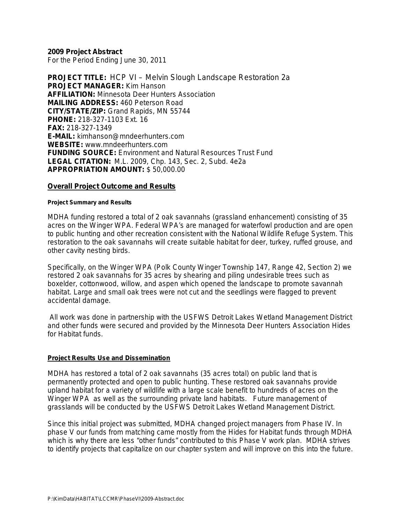## **2009 Project Abstract**

For the Period Ending June 30, 2011

**PROJECT TITLE:** HCP VI – Melvin Slough Landscape Restoration 2a **PROJECT MANAGER:** Kim Hanson **AFFILIATION:** Minnesota Deer Hunters Association **MAILING ADDRESS:** 460 Peterson Road **CITY/STATE/ZIP:** Grand Rapids, MN 55744 **PHONE:** 218-327-1103 Ext. 16 **FAX:** 218-327-1349 **E-MAIL:** kimhanson@mndeerhunters.com **WEBSITE:** www.mndeerhunters.com **FUNDING SOURCE:** Environment and Natural Resources Trust Fund **LEGAL CITATION:** M.L. 2009, Chp. 143, Sec. 2, Subd. 4e2a **APPROPRIATION AMOUNT:** \$ 50,000.00

## **Overall Project Outcome and Results**

#### **Project Summary and Results**

MDHA funding restored a total of 2 oak savannahs (grassland enhancement) consisting of 35 acres on the Winger WPA. Federal WPA's are managed for waterfowl production and are open to public hunting and other recreation consistent with the National Wildlife Refuge System. This restoration to the oak savannahs will create suitable habitat for deer, turkey, ruffed grouse, and other cavity nesting birds.

Specifically, on the Winger WPA (Polk County Winger Township 147, Range 42, Section 2) we restored 2 oak savannahs for 35 acres by shearing and piling undesirable trees such as boxelder, cottonwood, willow, and aspen which opened the landscape to promote savannah habitat. Large and small oak trees were not cut and the seedlings were flagged to prevent accidental damage.

All work was done in partnership with the USFWS Detroit Lakes Wetland Management District and other funds were secured and provided by the Minnesota Deer Hunters Association Hides for Habitat funds.

## **Project Results Use and Dissemination**

MDHA has restored a total of 2 oak savannahs (35 acres total) on public land that is permanently protected and open to public hunting. These restored oak savannahs provide upland habitat for a variety of wildlife with a large scale benefit to hundreds of acres on the Winger WPA as well as the surrounding private land habitats. Future management of grasslands will be conducted by the USFWS Detroit Lakes Wetland Management District.

Since this initial project was submitted, MDHA changed project managers from Phase IV. In phase V our funds from matching came mostly from the Hides for Habitat funds through MDHA which is why there are less "other funds" contributed to this Phase V work plan. MDHA strives to identify projects that capitalize on our chapter system and will improve on this into the future.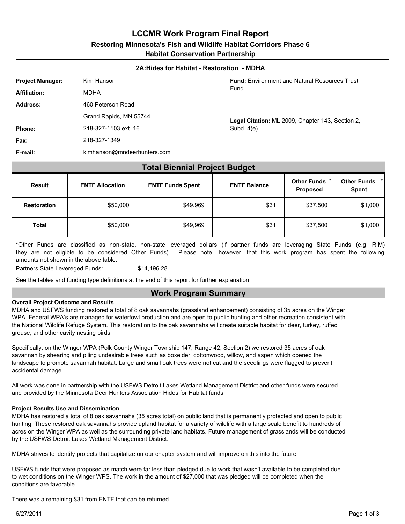**LCCMR Work Program Final Report**

#### **Restoring Minnesota's Fish and Wildlife Habitat Corridors Phase 6**

**Habitat Conservation Partnership**

#### **2A:Hides for Habitat - Restoration - MDHA**

| <b>Project Manager:</b> | Kim Hanson                  | <b>Fund:</b> Environment and Natural Resources Trust |
|-------------------------|-----------------------------|------------------------------------------------------|
| <b>Affiliation:</b>     | <b>MDHA</b>                 | Fund                                                 |
| Address:                | 460 Peterson Road           |                                                      |
|                         | Grand Rapids, MN 55744      | Legal Citation: ML 2009, Chapter 143, Section 2,     |
| Phone:                  | 218-327-1103 ext. 16        | Subd. $4(e)$                                         |
| Fax:                    | 218-327-1349                |                                                      |
| E-mail:                 | kimhanson@mndeerhunters.com |                                                      |

## **Total Biennial Project Budget**

| <b>Result</b>      | <b>ENTF Allocation</b> | <b>ENTF Funds Spent</b><br><b>ENTF Balance</b> |      | Other Funds * <br>Proposed | Other Funds *<br><b>Spent</b> |  |
|--------------------|------------------------|------------------------------------------------|------|----------------------------|-------------------------------|--|
| <b>Restoration</b> | \$50,000               | \$49,969                                       | \$31 | \$37,500                   | \$1,000                       |  |
| <b>Total</b>       | \$50,000               | \$49,969                                       | \$31 | \$37,500                   | \$1,000                       |  |

\*Other Funds are classified as non-state, non-state leveraged dollars (if partner funds are leveraging State Funds (e.g. RIM) they are not eligible to be considered Other Funds). Please note, however, that this work program has spent the following amounts not shown in the above table:

Partners State Levereged Funds: \$14,196.28

See the tables and funding type definitions at the end of this report for further explanation.

## **Work Program Summary**

#### **Overall Project Outcome and Results**

MDHA and USFWS funding restored a total of 8 oak savannahs (grassland enhancement) consisting of 35 acres on the Winger WPA. Federal WPA's are managed for waterfowl production and are open to public hunting and other recreation consistent with the National Wildlife Refuge System. This restoration to the oak savannahs will create suitable habitat for deer, turkey, ruffed grouse, and other cavity nesting birds.

Specifically, on the Winger WPA (Polk County Winger Township 147, Range 42, Section 2) we restored 35 acres of oak savannah by shearing and piling undesirable trees such as boxelder, cottonwood, willow, and aspen which opened the landscape to promote savannah habitat. Large and small oak trees were not cut and the seedlings were flagged to prevent accidental damage.

All work was done in partnership with the USFWS Detroit Lakes Wetland Management District and other funds were secured and provided by the Minnesota Deer Hunters Association Hides for Habitat funds.

#### **Project Results Use and Dissemination**

MDHA has restored a total of 8 oak savannahs (35 acres total) on public land that is permanently protected and open to public hunting. These restored oak savannahs provide upland habitat for a variety of wildlife with a large scale benefit to hundreds of acres on the Winger WPA as well as the surrounding private land habitats. Future management of grasslands will be conducted by the USFWS Detroit Lakes Wetland Management District.

MDHA strives to identify projects that capitalize on our chapter system and will improve on this into the future.

USFWS funds that were proposed as match were far less than pledged due to work that wasn't available to be completed due to wet conditions on the Winger WPS. The work in the amount of \$27,000 that was pledged will be completed when the conditions are favorable.

There was a remaining \$31 from ENTF that can be returned.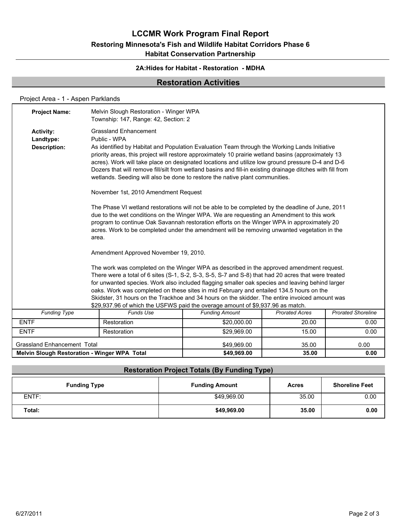## **LCCMR Work Program Final Report**

# **Restoring Minnesota's Fish and Wildlife Habitat Corridors Phase 6**

## **Habitat Conservation Partnership**

## **2A:Hides for Habitat - Restoration - MDHA**

## **Restoration Activities**

## Project Area - 1 - Aspen Parklands

| 35.00<br><b>Melvin Slough Restoration - Winger WPA Total</b><br>\$49.969.00<br>0.00 |                                                                                |                                                                                                                                                                                                                                                                                                |                       |                       |                           |  |  |  |  |
|-------------------------------------------------------------------------------------|--------------------------------------------------------------------------------|------------------------------------------------------------------------------------------------------------------------------------------------------------------------------------------------------------------------------------------------------------------------------------------------|-----------------------|-----------------------|---------------------------|--|--|--|--|
| <b>Grassland Enhancement Total</b>                                                  |                                                                                |                                                                                                                                                                                                                                                                                                | \$49,969.00           | 35.00                 | 0.00                      |  |  |  |  |
| <b>ENTF</b>                                                                         |                                                                                | Restoration                                                                                                                                                                                                                                                                                    | \$29,969.00           | 15.00                 | 0.00                      |  |  |  |  |
| <b>ENTF</b>                                                                         |                                                                                | Restoration                                                                                                                                                                                                                                                                                    | \$20,000.00           | 20.00                 | 0.00                      |  |  |  |  |
| <b>Funding Type</b>                                                                 |                                                                                | <b>Funds Use</b>                                                                                                                                                                                                                                                                               | <b>Funding Amount</b> | <b>Prorated Acres</b> | <b>Prorated Shoreline</b> |  |  |  |  |
|                                                                                     | \$29,937.96 of which the USFWS paid the overage amount of \$9,937.96 as match. |                                                                                                                                                                                                                                                                                                |                       |                       |                           |  |  |  |  |
|                                                                                     |                                                                                | Skidster, 31 hours on the Trackhoe and 34 hours on the skidder. The entire invoiced amount was                                                                                                                                                                                                 |                       |                       |                           |  |  |  |  |
|                                                                                     |                                                                                | oaks. Work was completed on these sites in mid February and entailed 134.5 hours on the                                                                                                                                                                                                        |                       |                       |                           |  |  |  |  |
|                                                                                     |                                                                                | There were a total of 6 sites (S-1, S-2, S-3, S-5, S-7 and S-8) that had 20 acres that were treated<br>for unwanted species. Work also included flagging smaller oak species and leaving behind larger                                                                                         |                       |                       |                           |  |  |  |  |
|                                                                                     |                                                                                | The work was completed on the Winger WPA as described in the approved amendment request.                                                                                                                                                                                                       |                       |                       |                           |  |  |  |  |
|                                                                                     | Amendment Approved November 19, 2010.                                          |                                                                                                                                                                                                                                                                                                |                       |                       |                           |  |  |  |  |
|                                                                                     | area.                                                                          | program to continue Oak Savannah restoration efforts on the Winger WPA in approximately 20<br>acres. Work to be completed under the amendment will be removing unwanted vegetation in the                                                                                                      |                       |                       |                           |  |  |  |  |
|                                                                                     |                                                                                | The Phase VI wetland restorations will not be able to be completed by the deadline of June, 2011<br>due to the wet conditions on the Winger WPA. We are requesting an Amendment to this work                                                                                                   |                       |                       |                           |  |  |  |  |
|                                                                                     |                                                                                | November 1st, 2010 Amendment Request                                                                                                                                                                                                                                                           |                       |                       |                           |  |  |  |  |
|                                                                                     |                                                                                | acres). Work will take place on designated locations and utilize low ground pressure D-4 and D-6<br>Dozers that will remove fill/silt from wetland basins and fill-in existing drainage ditches with fill from<br>wetlands. Seeding will also be done to restore the native plant communities. |                       |                       |                           |  |  |  |  |
| <b>Activity:</b><br>Landtype:<br><b>Description:</b>                                |                                                                                | <b>Grassland Enhancement</b><br>Public - WPA<br>As identified by Habitat and Population Evaluation Team through the Working Lands Initiative<br>priority areas, this project will restore approximately 10 prairie wetland basins (approximately 13                                            |                       |                       |                           |  |  |  |  |
| <b>Project Name:</b>                                                                |                                                                                | Melvin Slough Restoration - Winger WPA<br>Township: 147, Range: 42, Section: 2                                                                                                                                                                                                                 |                       |                       |                           |  |  |  |  |
|                                                                                     |                                                                                |                                                                                                                                                                                                                                                                                                |                       |                       |                           |  |  |  |  |

|                     | <b>Restoration Project Totals (By Funding Type)</b> |              |                       |  |  |  |
|---------------------|-----------------------------------------------------|--------------|-----------------------|--|--|--|
| <b>Funding Type</b> | <b>Funding Amount</b>                               | <b>Acres</b> | <b>Shoreline Feet</b> |  |  |  |
| ENTF:               | \$49,969.00                                         | 35.00        | 0.00                  |  |  |  |
| Total:              | \$49,969.00                                         | 35.00        | 0.00                  |  |  |  |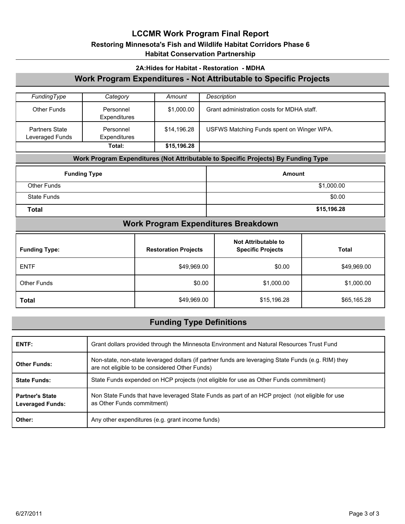## **LCCMR Work Program Final Report**

## **Restoring Minnesota's Fish and Wildlife Habitat Corridors Phase 6**

## **Habitat Conservation Partnership**

# **2A:Hides for Habitat - Restoration - MDHA** *FundingType Category Amount Description* Other Funds Personnel \$1,000.00 Grant administration costs for MDHA staff. Expenditures Partners State | Personnel | \$14,196.28 USFWS Matching Funds spent on Winger WPA. Leveraged Funds Personnel **Expenditures Total: \$15,196.28 Work Program Expenditures - Not Attributable to Specific Projects Funding Type Amount Work Program Expenditures (Not Attributable to Specific Projects) By Funding Type** Other Funds \$1,000.00 State Funds \$0.00 **Total \$15,196.28 Funding Type: Restoration Projects Not Attributable to Specific Projects Total Work Program Expenditures Breakdown** ENTF \$49,969.00 \$0.00 \$49,969.00 Other Funds | \$0.00 | \$1,000.00 | \$1,000.00 |

## **Funding Type Definitions**

**Total** \$49,969.00 \$15,196.28 \$65,165.28

| ENTF:                                             | Grant dollars provided through the Minnesota Environment and Natural Resources Trust Fund                                                             |
|---------------------------------------------------|-------------------------------------------------------------------------------------------------------------------------------------------------------|
| <b>Other Funds:</b>                               | Non-state, non-state leveraged dollars (if partner funds are leveraging State Funds (e.g. RIM) they<br>are not eligible to be considered Other Funds) |
| <b>State Funds:</b>                               | State Funds expended on HCP projects (not eligible for use as Other Funds commitment)                                                                 |
| <b>Partner's State</b><br><b>Leveraged Funds:</b> | Non State Funds that have leveraged State Funds as part of an HCP project (not eligible for use<br>as Other Funds commitment)                         |
| Other:                                            | Any other expenditures (e.g. grant income funds)                                                                                                      |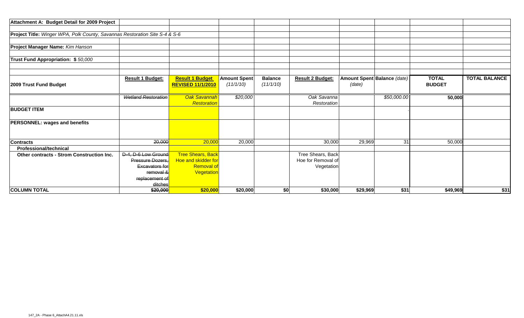| Attachment A: Budget Detail for 2009 Project                                |                            |                                                    |                                  |                             |                            |          |                             |                               |                      |
|-----------------------------------------------------------------------------|----------------------------|----------------------------------------------------|----------------------------------|-----------------------------|----------------------------|----------|-----------------------------|-------------------------------|----------------------|
|                                                                             |                            |                                                    |                                  |                             |                            |          |                             |                               |                      |
| Project Title: Winger WPA, Polk County, Savannas Restoration Site S-4 & S-6 |                            |                                                    |                                  |                             |                            |          |                             |                               |                      |
|                                                                             |                            |                                                    |                                  |                             |                            |          |                             |                               |                      |
| Project Manager Name: Kim Hanson                                            |                            |                                                    |                                  |                             |                            |          |                             |                               |                      |
| Trust Fund Appropriation: \$50,000                                          |                            |                                                    |                                  |                             |                            |          |                             |                               |                      |
|                                                                             |                            |                                                    |                                  |                             |                            |          |                             |                               |                      |
|                                                                             |                            |                                                    |                                  |                             |                            |          |                             |                               |                      |
| 2009 Trust Fund Budget                                                      | <b>Result 1 Budget:</b>    | <b>Result 1 Budget</b><br><b>REVISED 11/1/2010</b> | <b>Amount Spent</b><br>(11/1/10) | <b>Balance</b><br>(11/1/10) | <b>Result 2 Budget:</b>    | (date)   | Amount Spent Balance (date) | <b>TOTAL</b><br><b>BUDGET</b> | <b>TOTAL BALANCE</b> |
|                                                                             |                            |                                                    |                                  |                             |                            |          |                             |                               |                      |
|                                                                             | <b>Wetland Restoration</b> | Oak Savannah<br>Restoration                        | \$20,000                         |                             | Oak Savanna<br>Restoration |          | \$50,000.00                 | 50,000                        |                      |
| <b>BUDGET ITEM</b>                                                          |                            |                                                    |                                  |                             |                            |          |                             |                               |                      |
| <b>PERSONNEL: wages and benefits</b>                                        |                            |                                                    |                                  |                             |                            |          |                             |                               |                      |
|                                                                             |                            |                                                    |                                  |                             |                            |          |                             |                               |                      |
| <b>Contracts</b>                                                            | 20,000                     | 20,000                                             | 20,000                           |                             | 30,000                     | 29,969   | 31                          | 50,000                        |                      |
| <b>Professional/technical</b>                                               |                            |                                                    |                                  |                             |                            |          |                             |                               |                      |
| Other contracts - Strom Construction Inc.                                   | D-4, D-6 Low Ground        | <b>Tree Shears, Back</b>                           |                                  |                             | Tree Shears, Back          |          |                             |                               |                      |
|                                                                             | Pressure Dozers.           | Hoe and skidder for                                |                                  |                             | Hoe for Removal of         |          |                             |                               |                      |
|                                                                             | <b>Excavators for</b>      | <b>Removal of</b>                                  |                                  |                             | Vegetation                 |          |                             |                               |                      |
|                                                                             | removal &                  | Vegetation                                         |                                  |                             |                            |          |                             |                               |                      |
|                                                                             | replacement of             |                                                    |                                  |                             |                            |          |                             |                               |                      |
|                                                                             | ditches                    |                                                    |                                  |                             |                            |          |                             |                               |                      |
| <b>COLUMN TOTAL</b>                                                         | \$20,000                   | \$20,000                                           | \$20,000                         | \$0                         | \$30,000                   | \$29,969 | \$31                        | \$49,969                      | \$31                 |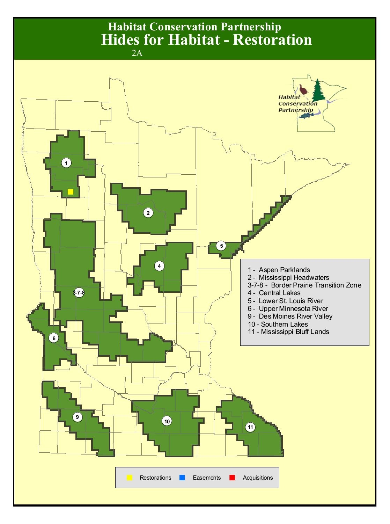# **Habitat Conservation Partnership** 2A **Hides for Habitat - Restoration**